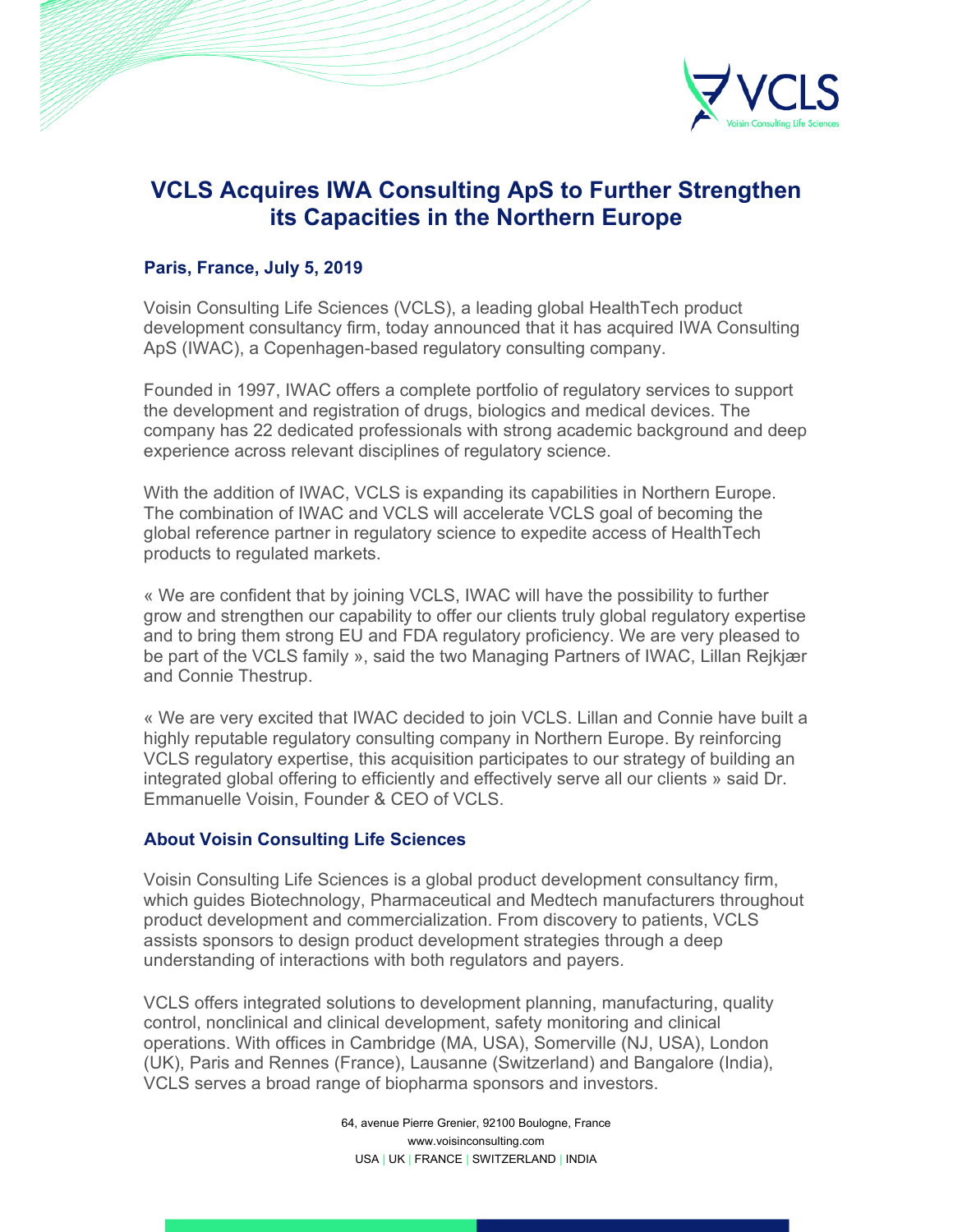

## **VCLS Acquires IWA Consulting ApS to Further Strengthen its Capacities in the Northern Europe**

## **Paris, France, July 5, 2019**

Voisin Consulting Life Sciences (VCLS), a leading global HealthTech product development consultancy firm, today announced that it has acquired IWA Consulting ApS (IWAC), a Copenhagen-based regulatory consulting company.

Founded in 1997, IWAC offers a complete portfolio of regulatory services to support the development and registration of drugs, biologics and medical devices. The company has 22 dedicated professionals with strong academic background and deep experience across relevant disciplines of regulatory science.

With the addition of IWAC, VCLS is expanding its capabilities in Northern Europe. The combination of IWAC and VCLS will accelerate VCLS goal of becoming the global reference partner in regulatory science to expedite access of HealthTech products to regulated markets.

« We are confident that by joining VCLS, IWAC will have the possibility to further grow and strengthen our capability to offer our clients truly global regulatory expertise and to bring them strong EU and FDA regulatory proficiency. We are very pleased to be part of the VCLS family », said the two Managing Partners of IWAC, Lillan Rejkjær and Connie Thestrup.

« We are very excited that IWAC decided to join VCLS. Lillan and Connie have built a highly reputable regulatory consulting company in Northern Europe. By reinforcing VCLS regulatory expertise, this acquisition participates to our strategy of building an integrated global offering to efficiently and effectively serve all our clients » said Dr. Emmanuelle Voisin, Founder & CEO of VCLS.

## **About Voisin Consulting Life Sciences**

Voisin Consulting Life Sciences is a global product development consultancy firm, which guides Biotechnology, Pharmaceutical and Medtech manufacturers throughout product development and commercialization. From discovery to patients, VCLS assists sponsors to design product development strategies through a deep understanding of interactions with both regulators and payers.

VCLS offers integrated solutions to development planning, manufacturing, quality control, nonclinical and clinical development, safety monitoring and clinical operations. With offices in Cambridge (MA, USA), Somerville (NJ, USA), London (UK), Paris and Rennes (France), Lausanne (Switzerland) and Bangalore (India), VCLS serves a broad range of biopharma sponsors and investors.